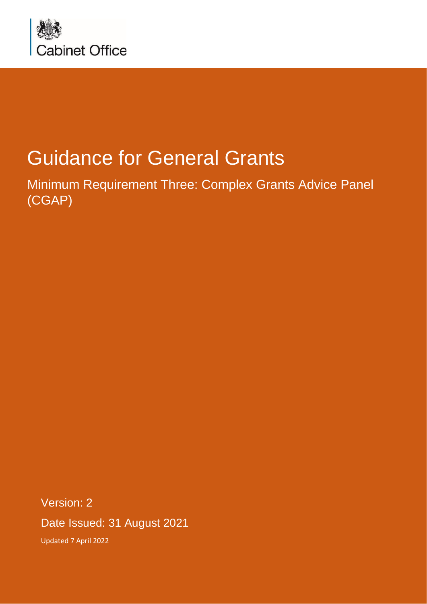

# Guidance for General Grants

Minimum Requirement Three: Complex Grants Advice Panel (CGAP)

Version: 2 Date Issued: 31 August 2021 Updated 7 April 2022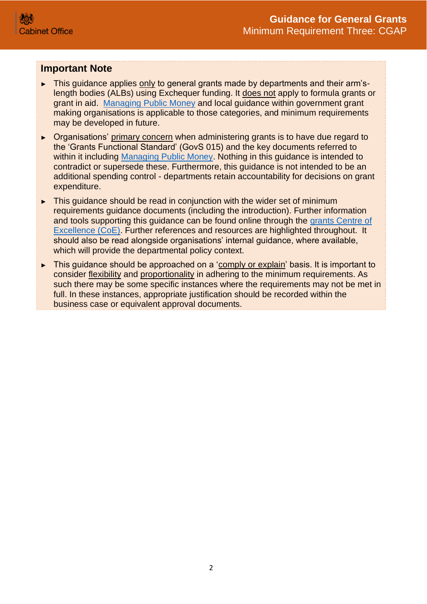## **Important Note**

- ► This guidance applies only to general grants made by departments and their arm'slength bodies (ALBs) using Exchequer funding. It does not apply to formula grants or grant in aid. [Managing Public Money](https://www.gov.uk/government/publications/managing-public-money) and local guidance within government grant making organisations is applicable to those categories, and minimum requirements may be developed in future.
- ► Organisations' primary concern when administering grants is to have due regard to the 'Grants Functional Standard' (GovS 015) and the key documents referred to within it including [Managing Public Money.](https://www.gov.uk/government/publications/managing-public-money) Nothing in this guidance is intended to contradict or supersede these. Furthermore, this guidance is not intended to be an additional spending control - departments retain accountability for decisions on grant expenditure.
- ► This guidance should be read in conjunction with the wider set of minimum requirements guidance documents (including the introduction). Further information and tools supporting this guidance can be found online through the [grants Centre of](https://gcoe.civilservice.gov.uk/)  [Excellence \(CoE\).](https://gcoe.civilservice.gov.uk/) Further references and resources are highlighted throughout. It should also be read alongside organisations' internal guidance, where available, which will provide the departmental policy context.
- ► This guidance should be approached on a 'comply or explain' basis. It is important to consider flexibility and proportionality in adhering to the minimum requirements. As such there may be some specific instances where the requirements may not be met in full. In these instances, appropriate justification should be recorded within the business case or equivalent approval documents.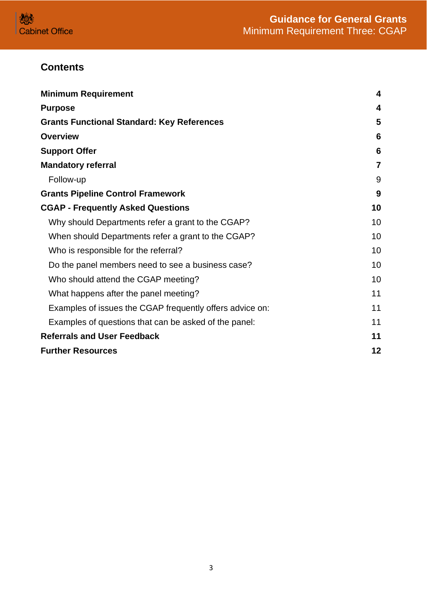

# **Contents**

| <b>Minimum Requirement</b>                               | $\overline{\mathbf{4}}$ |
|----------------------------------------------------------|-------------------------|
| <b>Purpose</b>                                           | 4                       |
| <b>Grants Functional Standard: Key References</b>        | 5                       |
| <b>Overview</b>                                          | 6                       |
| <b>Support Offer</b>                                     | 6                       |
| <b>Mandatory referral</b>                                | $\overline{7}$          |
| Follow-up                                                | 9                       |
| <b>Grants Pipeline Control Framework</b>                 | 9                       |
| <b>CGAP - Frequently Asked Questions</b>                 | 10                      |
| Why should Departments refer a grant to the CGAP?        | 10                      |
| When should Departments refer a grant to the CGAP?       | 10                      |
| Who is responsible for the referral?                     | 10                      |
| Do the panel members need to see a business case?        | 10                      |
| Who should attend the CGAP meeting?                      | 10                      |
| What happens after the panel meeting?                    | 11                      |
| Examples of issues the CGAP frequently offers advice on: | 11                      |
| Examples of questions that can be asked of the panel:    | 11                      |
| <b>Referrals and User Feedback</b>                       | 11                      |
| <b>Further Resources</b>                                 | 12                      |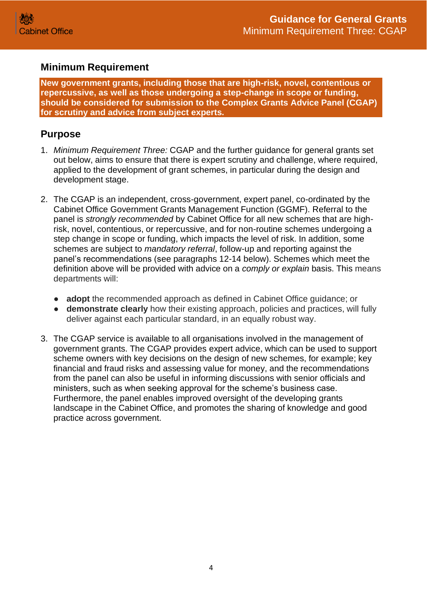## <span id="page-3-0"></span>**Minimum Requirement**

**New government grants, including those that are high-risk, novel, contentious or repercussive, as well as those undergoing a step-change in scope or funding, should be considered for submission to the Complex Grants Advice Panel (CGAP) for scrutiny and advice from subject experts.** 

## <span id="page-3-1"></span>**Purpose**

- 1. *Minimum Requirement Three:* CGAP and the further guidance for general grants set out below, aims to ensure that there is expert scrutiny and challenge, where required, applied to the development of grant schemes, in particular during the design and development stage.
- 2. The CGAP is an independent, cross-government, expert panel, co-ordinated by the Cabinet Office Government Grants Management Function (GGMF). Referral to the panel is *strongly recommended* by Cabinet Office for all new schemes that are highrisk, novel, contentious, or repercussive, and for non-routine schemes undergoing a step change in scope or funding, which impacts the level of risk. In addition, some schemes are subject to *mandatory referral*, follow-up and reporting against the panel's recommendations (see paragraphs 12-14 below). Schemes which meet the definition above will be provided with advice on a *comply or explain* basis. This means departments will:
	- **adopt** the recommended approach as defined in Cabinet Office guidance; or
	- **demonstrate clearly** how their existing approach, policies and practices, will fully deliver against each particular standard, in an equally robust way.
- 3. The CGAP service is available to all organisations involved in the management of government grants. The CGAP provides expert advice, which can be used to support scheme owners with key decisions on the design of new schemes, for example; key financial and fraud risks and assessing value for money, and the recommendations from the panel can also be useful in informing discussions with senior officials and ministers, such as when seeking approval for the scheme's business case. Furthermore, the panel enables improved oversight of the developing grants landscape in the Cabinet Office, and promotes the sharing of knowledge and good practice across government.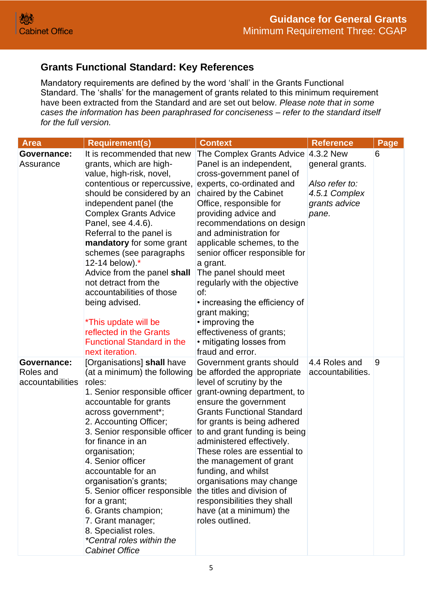# <span id="page-4-0"></span>**Grants Functional Standard: Key References**

Mandatory requirements are defined by the word 'shall' in the Grants Functional Standard. The 'shalls' for the management of grants related to this minimum requirement have been extracted from the Standard and are set out below. *Please note that in some cases the information has been paraphrased for conciseness – refer to the standard itself for the full version.*

| <b>Area</b>        | <b>Requirement(s)</b>                           | <b>Context</b>                              | <b>Reference</b>  | Page           |
|--------------------|-------------------------------------------------|---------------------------------------------|-------------------|----------------|
| Governance:        | It is recommended that new                      | The Complex Grants Advice                   | 4.3.2 New         | 6              |
| Assurance          | grants, which are high-                         | Panel is an independent,                    | general grants.   |                |
|                    | value, high-risk, novel,                        | cross-government panel of                   |                   |                |
|                    | contentious or repercussive,                    | experts, co-ordinated and                   | Also refer to:    |                |
|                    | should be considered by an                      | chaired by the Cabinet                      | 4.5.1 Complex     |                |
|                    | independent panel (the                          | Office, responsible for                     | grants advice     |                |
|                    | <b>Complex Grants Advice</b>                    | providing advice and                        | pane.             |                |
|                    | Panel, see 4.4.6).                              | recommendations on design                   |                   |                |
|                    | Referral to the panel is                        | and administration for                      |                   |                |
|                    | mandatory for some grant                        | applicable schemes, to the                  |                   |                |
|                    | schemes (see paragraphs                         | senior officer responsible for              |                   |                |
|                    | 12-14 below).*                                  | a grant.                                    |                   |                |
|                    | Advice from the panel shall                     | The panel should meet                       |                   |                |
|                    | not detract from the                            | regularly with the objective                |                   |                |
|                    | accountabilities of those                       | of:                                         |                   |                |
|                    | being advised.                                  | • increasing the efficiency of              |                   |                |
|                    |                                                 | grant making;                               |                   |                |
|                    | *This update will be<br>reflected in the Grants | • improving the<br>effectiveness of grants; |                   |                |
|                    | <b>Functional Standard in the</b>               | • mitigating losses from                    |                   |                |
|                    | next iteration.                                 | fraud and error.                            |                   |                |
| <b>Governance:</b> | [Organisations] shall have                      | Government grants should                    | 4.4 Roles and     | $\overline{9}$ |
| Roles and          | (at a minimum) the following                    | be afforded the appropriate                 | accountabilities. |                |
| accountabilities   | roles:                                          | level of scrutiny by the                    |                   |                |
|                    | 1. Senior responsible officer                   | grant-owning department, to                 |                   |                |
|                    | accountable for grants                          | ensure the government                       |                   |                |
|                    | across government*;                             | <b>Grants Functional Standard</b>           |                   |                |
|                    | 2. Accounting Officer;                          | for grants is being adhered                 |                   |                |
|                    | 3. Senior responsible officer                   | to and grant funding is being               |                   |                |
|                    | for finance in an                               | administered effectively.                   |                   |                |
|                    | organisation;                                   | These roles are essential to                |                   |                |
|                    | 4. Senior officer                               | the management of grant                     |                   |                |
|                    | accountable for an                              | funding, and whilst                         |                   |                |
|                    | organisation's grants;                          | organisations may change                    |                   |                |
|                    | 5. Senior officer responsible                   | the titles and division of                  |                   |                |
|                    | for a grant;                                    | responsibilities they shall                 |                   |                |
|                    | 6. Grants champion;                             | have (at a minimum) the                     |                   |                |
|                    | 7. Grant manager;                               | roles outlined.                             |                   |                |
|                    | 8. Specialist roles.                            |                                             |                   |                |
|                    | *Central roles within the                       |                                             |                   |                |
|                    | <b>Cabinet Office</b>                           |                                             |                   |                |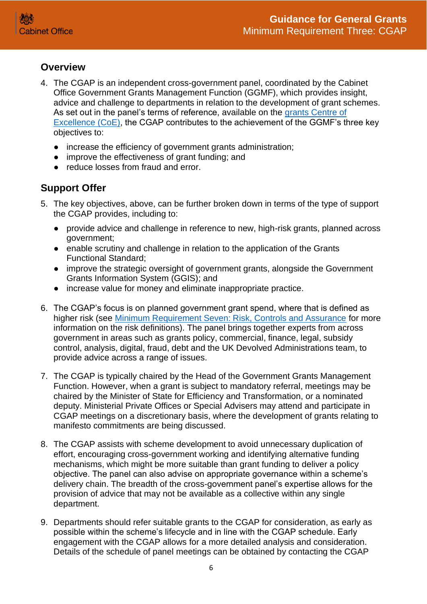# <span id="page-5-0"></span>**Overview**

- 4. The CGAP is an independent cross-government panel, coordinated by the Cabinet Office Government Grants Management Function (GGMF), which provides insight, advice and challenge to departments in relation to the development of grant schemes. As set out in the panel's terms of reference, available on the [grants Centre of](https://gcoe.civilservice.gov.uk/)  [Excellence \(CoE\),](https://gcoe.civilservice.gov.uk/) the CGAP contributes to the achievement of the GGMF's three key objectives to:
	- increase the efficiency of government grants administration;
	- improve the effectiveness of grant funding; and
	- reduce losses from fraud and error.

# <span id="page-5-1"></span>**Support Offer**

- 5. The key objectives, above, can be further broken down in terms of the type of support the CGAP provides, including to:
	- provide advice and challenge in reference to new, high-risk grants, planned across government;
	- enable scrutiny and challenge in relation to the application of the Grants Functional Standard;
	- improve the strategic oversight of government grants, alongside the Government Grants Information System (GGIS); and
	- increase value for money and eliminate inappropriate practice.
- 6. The CGAP's focus is on planned government grant spend, where that is defined as higher risk (see [Minimum Requirement Seven: Risk, Controls and Assurance](https://assets.publishing.service.gov.uk/government/uploads/system/uploads/attachment_data/file/722201/Grants-Standard-SEVEN-Due-Diligence-and-Fraud-Risk.pdf) for more information on the risk definitions). The panel brings together experts from across government in areas such as grants policy, commercial, finance, legal, subsidy control, analysis, digital, fraud, debt and the UK Devolved Administrations team, to provide advice across a range of issues.
- 7. The CGAP is typically chaired by the Head of the Government Grants Management Function. However, when a grant is subject to mandatory referral, meetings may be chaired by the Minister of State for Efficiency and Transformation, or a nominated deputy. Ministerial Private Offices or Special Advisers may attend and participate in CGAP meetings on a discretionary basis, where the development of grants relating to manifesto commitments are being discussed.
- 8. The CGAP assists with scheme development to avoid unnecessary duplication of effort, encouraging cross-government working and identifying alternative funding mechanisms, which might be more suitable than grant funding to deliver a policy objective. The panel can also advise on appropriate governance within a scheme's delivery chain. The breadth of the cross-government panel's expertise allows for the provision of advice that may not be available as a collective within any single department.
- 9. Departments should refer suitable grants to the CGAP for consideration, as early as possible within the scheme's lifecycle and in line with the CGAP schedule. Early engagement with the CGAP allows for a more detailed analysis and consideration. Details of the schedule of panel meetings can be obtained by contacting the CGAP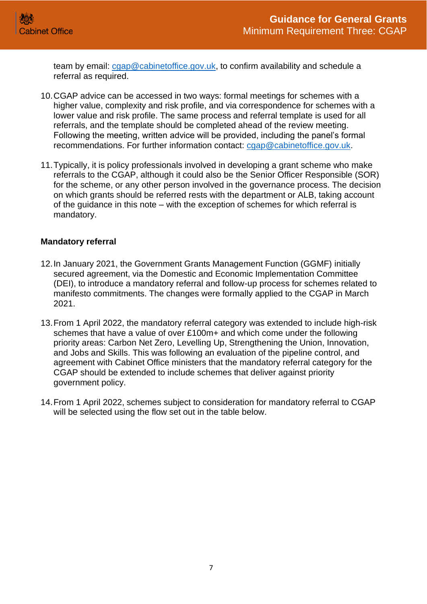team by email: [cgap@cabinetoffice.gov.uk,](mailto:cgap@cabinetoffice.gov.uk) to confirm availability and schedule a referral as required.

- 10.CGAP advice can be accessed in two ways: formal meetings for schemes with a higher value, complexity and risk profile, and via correspondence for schemes with a lower value and risk profile. The same process and referral template is used for all referrals, and the template should be completed ahead of the review meeting. Following the meeting, written advice will be provided, including the panel's formal recommendations. For further information contact: [cgap@cabinetoffice.gov.uk.](mailto:cgap@cabinetoffice.gov.uk)
- 11.Typically, it is policy professionals involved in developing a grant scheme who make referrals to the CGAP, although it could also be the Senior Officer Responsible (SOR) for the scheme, or any other person involved in the governance process. The decision on which grants should be referred rests with the department or ALB, taking account of the guidance in this note – with the exception of schemes for which referral is mandatory.

#### <span id="page-6-0"></span>**Mandatory referral**

- 12.In January 2021, the Government Grants Management Function (GGMF) initially secured agreement, via the Domestic and Economic Implementation Committee (DEI), to introduce a mandatory referral and follow-up process for schemes related to manifesto commitments. The changes were formally applied to the CGAP in March 2021.
- 13.From 1 April 2022, the mandatory referral category was extended to include high-risk schemes that have a value of over £100m+ and which come under the following priority areas: Carbon Net Zero, Levelling Up, Strengthening the Union, Innovation, and Jobs and Skills. This was following an evaluation of the pipeline control, and agreement with Cabinet Office ministers that the mandatory referral category for the CGAP should be extended to include schemes that deliver against priority government policy.
- 14.From 1 April 2022, schemes subject to consideration for mandatory referral to CGAP will be selected using the flow set out in the table below.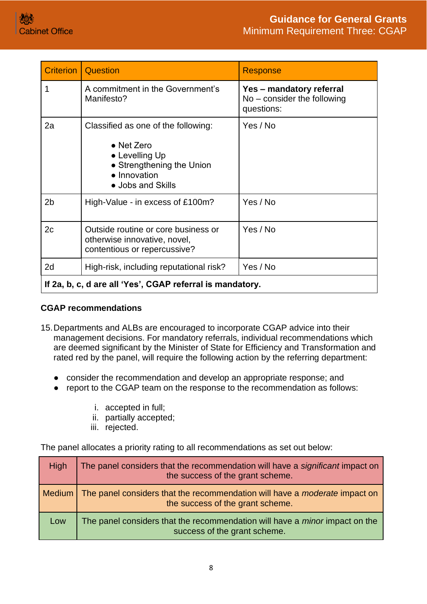| <b>Criterion</b>                                          | <b>Question</b>                                                                                                                               | <b>Response</b>                                                       |
|-----------------------------------------------------------|-----------------------------------------------------------------------------------------------------------------------------------------------|-----------------------------------------------------------------------|
|                                                           | A commitment in the Government's<br>Manifesto?                                                                                                | Yes - mandatory referral<br>No - consider the following<br>questions: |
| 2a                                                        | Classified as one of the following:<br>$\bullet$ Net Zero<br>• Levelling Up<br>• Strengthening the Union<br>• Innovation<br>• Jobs and Skills | Yes / No                                                              |
| 2 <sub>b</sub>                                            | High-Value - in excess of £100m?                                                                                                              | Yes / No                                                              |
| 2c                                                        | Outside routine or core business or<br>otherwise innovative, novel,<br>contentious or repercussive?                                           | Yes / No                                                              |
| 2d                                                        | High-risk, including reputational risk?                                                                                                       | Yes / No                                                              |
| If 2a, b, c, d are all 'Yes', CGAP referral is mandatory. |                                                                                                                                               |                                                                       |

#### **CGAP recommendations**

- 15.Departments and ALBs are encouraged to incorporate CGAP advice into their management decisions. For mandatory referrals, individual recommendations which are deemed significant by the Minister of State for Efficiency and Transformation and rated red by the panel, will require the following action by the referring department:
	- consider the recommendation and develop an appropriate response; and
	- report to the CGAP team on the response to the recommendation as follows:
		- i. accepted in full;
		- ii. partially accepted;
		- iii. rejected.

The panel allocates a priority rating to all recommendations as set out below:

| High | The panel considers that the recommendation will have a significant impact on<br>the success of the grant scheme.              |
|------|--------------------------------------------------------------------------------------------------------------------------------|
|      | Medium   The panel considers that the recommendation will have a <i>moderate</i> impact on<br>the success of the grant scheme. |
| Low  | The panel considers that the recommendation will have a <i>minor</i> impact on the<br>success of the grant scheme.             |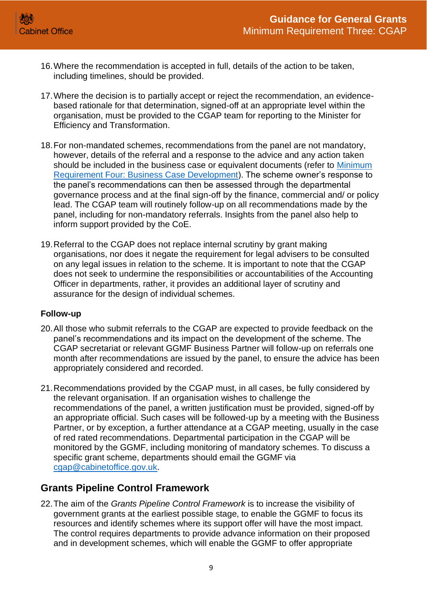- 16.Where the recommendation is accepted in full, details of the action to be taken, including timelines, should be provided.
- 17.Where the decision is to partially accept or reject the recommendation, an evidencebased rationale for that determination, signed-off at an appropriate level within the organisation, must be provided to the CGAP team for reporting to the Minister for Efficiency and Transformation.
- 18.For non-mandated schemes, recommendations from the panel are not mandatory, however, details of the referral and a response to the advice and any action taken should be included in the business case or equivalent documents (refer to Minimum [Requirement Four: Business Case Development\)](https://assets.publishing.service.gov.uk/government/uploads/system/uploads/attachment_data/file/722198/Grants-Standard-FOUR-Business-Case.pdf). The scheme owner's response to the panel's recommendations can then be assessed through the departmental governance process and at the final sign-off by the finance, commercial and/ or policy lead. The CGAP team will routinely follow-up on all recommendations made by the panel, including for non-mandatory referrals. Insights from the panel also help to inform support provided by the CoE.
- 19.Referral to the CGAP does not replace internal scrutiny by grant making organisations, nor does it negate the requirement for legal advisers to be consulted on any legal issues in relation to the scheme. It is important to note that the CGAP does not seek to undermine the responsibilities or accountabilities of the Accounting Officer in departments, rather, it provides an additional layer of scrutiny and assurance for the design of individual schemes.

## <span id="page-8-0"></span>**Follow-up**

- 20.All those who submit referrals to the CGAP are expected to provide feedback on the panel's recommendations and its impact on the development of the scheme. The CGAP secretariat or relevant GGMF Business Partner will follow-up on referrals one month after recommendations are issued by the panel, to ensure the advice has been appropriately considered and recorded.
- 21.Recommendations provided by the CGAP must, in all cases, be fully considered by the relevant organisation. If an organisation wishes to challenge the recommendations of the panel, a written justification must be provided, signed-off by an appropriate official. Such cases will be followed-up by a meeting with the Business Partner, or by exception, a further attendance at a CGAP meeting, usually in the case of red rated recommendations. Departmental participation in the CGAP will be monitored by the GGMF, including monitoring of mandatory schemes. To discuss a specific grant scheme, departments should email the GGMF via [cgap@cabinetoffice.gov.uk.](mailto:cgap@cabinetoffice.gov.uk)

# <span id="page-8-1"></span>**Grants Pipeline Control Framework**

22.The aim of the *Grants Pipeline Control Framework* is to increase the visibility of government grants at the earliest possible stage, to enable the GGMF to focus its resources and identify schemes where its support offer will have the most impact. The control requires departments to provide advance information on their proposed and in development schemes, which will enable the GGMF to offer appropriate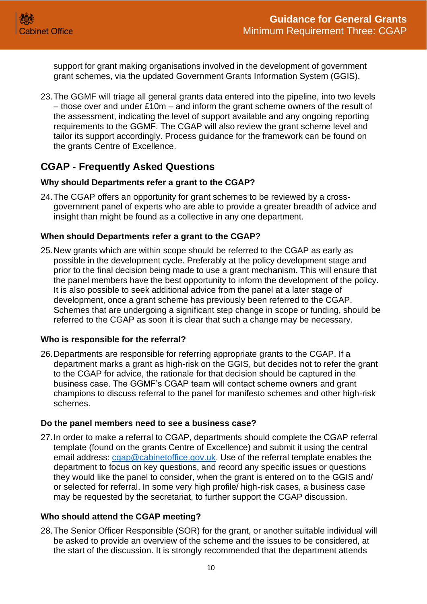support for grant making organisations involved in the development of government grant schemes, via the updated Government Grants Information System (GGIS).

23.The GGMF will triage all general grants data entered into the pipeline, into two levels – those over and under £10m – and inform the grant scheme owners of the result of the assessment, indicating the level of support available and any ongoing reporting requirements to the GGMF. The CGAP will also review the grant scheme level and tailor its support accordingly. Process guidance for the framework can be found on the grants [Centre of Excellence.](https://grantshub.civilservice.gov.uk/s/)

# <span id="page-9-0"></span>**CGAP - Frequently Asked Questions**

## <span id="page-9-1"></span>**Why should Departments refer a grant to the CGAP?**

24.The CGAP offers an opportunity for grant schemes to be reviewed by a crossgovernment panel of experts who are able to provide a greater breadth of advice and insight than might be found as a collective in any one department.

## <span id="page-9-2"></span>**When should Departments refer a grant to the CGAP?**

25.New grants which are within scope should be referred to the CGAP as early as possible in the development cycle. Preferably at the policy development stage and prior to the final decision being made to use a grant mechanism. This will ensure that the panel members have the best opportunity to inform the development of the policy. It is also possible to seek additional advice from the panel at a later stage of development, once a grant scheme has previously been referred to the CGAP. Schemes that are undergoing a significant step change in scope or funding, should be referred to the CGAP as soon it is clear that such a change may be necessary.

## <span id="page-9-3"></span>**Who is responsible for the referral?**

26.Departments are responsible for referring appropriate grants to the CGAP. If a department marks a grant as high-risk on the GGIS, but decides not to refer the grant to the CGAP for advice, the rationale for that decision should be captured in the business case. The GGMF's CGAP team will contact scheme owners and grant champions to discuss referral to the panel for manifesto schemes and other high-risk schemes.

## <span id="page-9-4"></span>**Do the panel members need to see a business case?**

27.In order to make a referral to CGAP, departments should complete the CGAP referral template (found on the grants Centre of Excellence) and submit it using the central email address: [cgap@cabinetoffice.gov.uk.](mailto:cgap@cabinetoffice.gov.uk) Use of the referral template enables the department to focus on key questions, and record any specific issues or questions they would like the panel to consider, when the grant is entered on to the GGIS and/ or selected for referral. In some very high profile/ high-risk cases, a business case may be requested by the secretariat, to further support the CGAP discussion.

## <span id="page-9-5"></span>**Who should attend the CGAP meeting?**

28.The Senior Officer Responsible (SOR) for the grant, or another suitable individual will be asked to provide an overview of the scheme and the issues to be considered, at the start of the discussion. It is strongly recommended that the department attends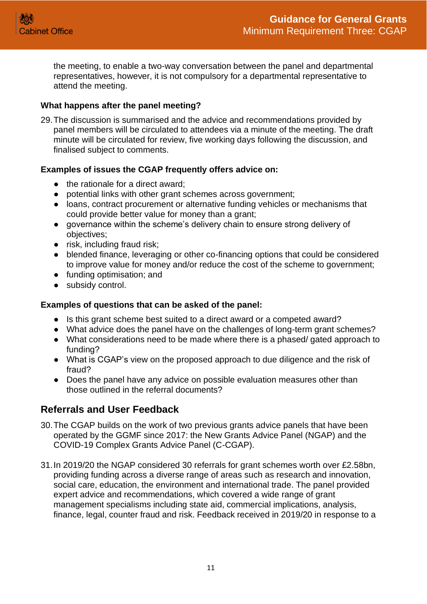the meeting, to enable a two-way conversation between the panel and departmental representatives, however, it is not compulsory for a departmental representative to attend the meeting.

#### <span id="page-10-0"></span>**What happens after the panel meeting?**

29.The discussion is summarised and the advice and recommendations provided by panel members will be circulated to attendees via a minute of the meeting. The draft minute will be circulated for review, five working days following the discussion, and finalised subject to comments.

#### <span id="page-10-1"></span>**Examples of issues the CGAP frequently offers advice on:**

- the rationale for a direct award;
- potential links with other grant schemes across government;
- loans, contract procurement or alternative funding vehicles or mechanisms that could provide better value for money than a grant;
- governance within the scheme's delivery chain to ensure strong delivery of objectives;
- risk, including fraud risk;
- blended finance, leveraging or other co-financing options that could be considered to improve value for money and/or reduce the cost of the scheme to government;
- funding optimisation; and
- subsidy control.

#### <span id="page-10-2"></span>**Examples of questions that can be asked of the panel:**

- Is this grant scheme best suited to a direct award or a competed award?
- What advice does the panel have on the challenges of long-term grant schemes?
- What considerations need to be made where there is a phased/ gated approach to funding?
- What is CGAP's view on the proposed approach to due diligence and the risk of fraud?
- Does the panel have any advice on possible evaluation measures other than those outlined in the referral documents?

## <span id="page-10-3"></span>**Referrals and User Feedback**

- 30.The CGAP builds on the work of two previous grants advice panels that have been operated by the GGMF since 2017: the New Grants Advice Panel (NGAP) and the COVID-19 Complex Grants Advice Panel (C-CGAP).
- 31.In 2019/20 the NGAP considered 30 referrals for grant schemes worth over £2.58bn, providing funding across a diverse range of areas such as research and innovation, social care, education, the environment and international trade. The panel provided expert advice and recommendations, which covered a wide range of grant management specialisms including state aid, commercial implications, analysis, finance, legal, counter fraud and risk. Feedback received in 2019/20 in response to a